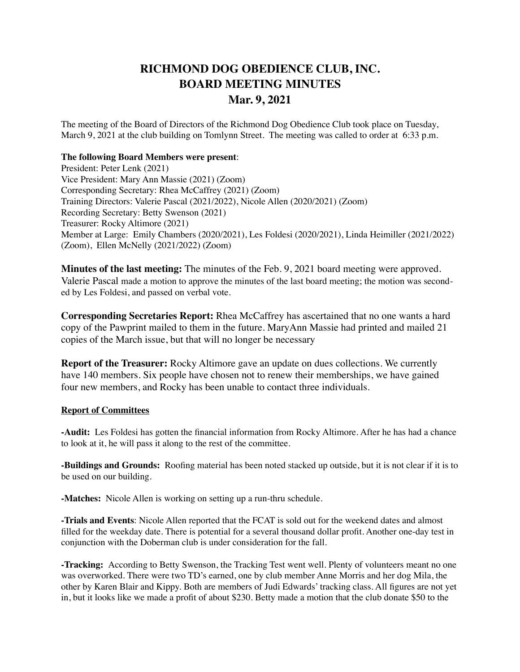## **RICHMOND DOG OBEDIENCE CLUB, INC. BOARD MEETING MINUTES Mar. 9, 2021**

The meeting of the Board of Directors of the Richmond Dog Obedience Club took place on Tuesday, March 9, 2021 at the club building on Tomlynn Street. The meeting was called to order at 6:33 p.m.

## **The following Board Members were present**:

President: Peter Lenk (2021) Vice President: Mary Ann Massie (2021) (Zoom) Corresponding Secretary: Rhea McCaffrey (2021) (Zoom) Training Directors: Valerie Pascal (2021/2022), Nicole Allen (2020/2021) (Zoom) Recording Secretary: Betty Swenson (2021) Treasurer: Rocky Altimore (2021) Member at Large: Emily Chambers (2020/2021), Les Foldesi (2020/2021), Linda Heimiller (2021/2022) (Zoom), Ellen McNelly (2021/2022) (Zoom)

**Minutes of the last meeting:** The minutes of the Feb. 9, 2021 board meeting were approved. Valerie Pascal made a motion to approve the minutes of the last board meeting; the motion was seconded by Les Foldesi, and passed on verbal vote.

**Corresponding Secretaries Report:** Rhea McCaffrey has ascertained that no one wants a hard copy of the Pawprint mailed to them in the future. MaryAnn Massie had printed and mailed 21 copies of the March issue, but that will no longer be necessary

**Report of the Treasurer:** Rocky Altimore gave an update on dues collections. We currently have 140 members. Six people have chosen not to renew their memberships, we have gained four new members, and Rocky has been unable to contact three individuals.

## **Report of Committees**

**-Audit:** Les Foldesi has gotten the financial information from Rocky Altimore. After he has had a chance to look at it, he will pass it along to the rest of the committee.

**-Buildings and Grounds:** Roofing material has been noted stacked up outside, but it is not clear if it is to be used on our building.

**-Matches:** Nicole Allen is working on setting up a run-thru schedule.

**-Trials and Events**: Nicole Allen reported that the FCAT is sold out for the weekend dates and almost filled for the weekday date. There is potential for a several thousand dollar profit. Another one-day test in conjunction with the Doberman club is under consideration for the fall.

**-Tracking:** According to Betty Swenson, the Tracking Test went well. Plenty of volunteers meant no one was overworked. There were two TD's earned, one by club member Anne Morris and her dog Mila, the other by Karen Blair and Kippy. Both are members of Judi Edwards' tracking class. All figures are not yet in, but it looks like we made a profit of about \$230. Betty made a motion that the club donate \$50 to the